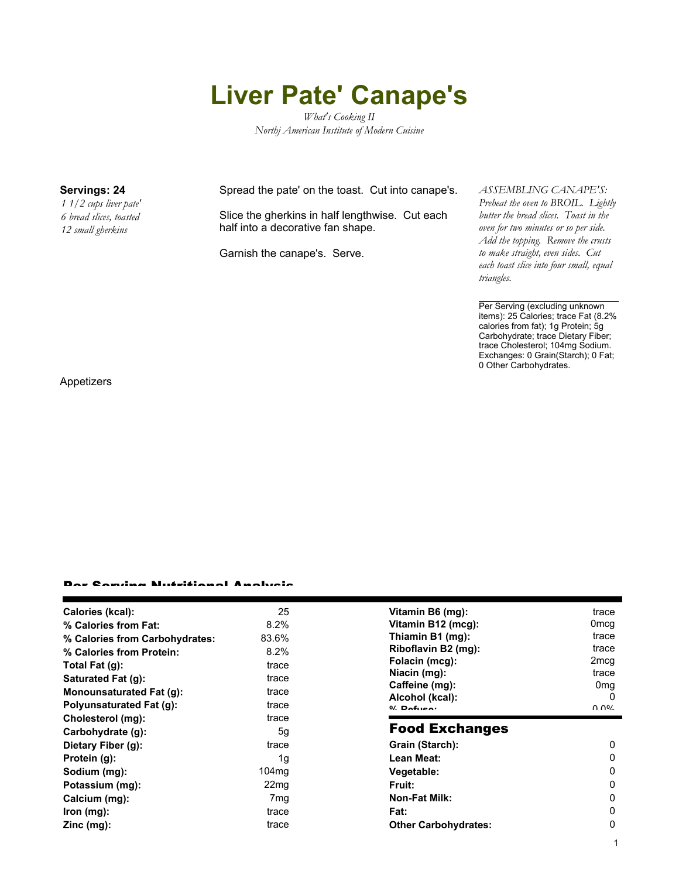# **Liver Pate' Canape's**

*What's Cooking II Northj American Institute of Modern Cuisine*

*1 1/2 cups liver pate' 6 bread slices, toasted 12 small gherkins*

### **Servings: 24** Spread the pate' on the toast. Cut into canape's.

Slice the gherkins in half lengthwise. Cut each half into a decorative fan shape.

Garnish the canape's. Serve.

#### *ASSEMBLING CANAPE'S:*

*Preheat the oven to BROIL. Lightly butter the bread slices. Toast in the oven for two minutes or so per side. Add the topping. Remove the crusts to make straight, even sides. Cut each toast slice into four small, equal triangles.*

Per Serving (excluding unknown items): 25 Calories; trace Fat (8.2% calories from fat); 1g Protein; 5g Carbohydrate; trace Dietary Fiber; trace Cholesterol; 104mg Sodium. Exchanges: 0 Grain(Starch); 0 Fat; 0 Other Carbohydrates.

1

Appetizers

#### Per Serving Nutritional Analysis

| Calories (kcal):                | 25                | Vitamin B6 (mg):                  | trace            |
|---------------------------------|-------------------|-----------------------------------|------------------|
| % Calories from Fat:            | $8.2\%$           | Vitamin B12 (mcg):                | 0 <sub>mcq</sub> |
| % Calories from Carbohydrates:  | 83.6%             | Thiamin B1 (mg):                  | trace            |
| % Calories from Protein:        | 8.2%              | Riboflavin B2 (mg):               | trace            |
| Total Fat $(g)$ :               | trace             | Folacin (mcg):                    | 2 <sub>mcg</sub> |
| Saturated Fat (g):              | trace             | Niacin (mg):                      | trace            |
| <b>Monounsaturated Fat (g):</b> | trace             | Caffeine (mg):                    | 0 <sub>mg</sub>  |
| Polyunsaturated Fat (g):        | trace             | Alcohol (kcal):<br>$0/2$ Pofileon | 0<br>በ በ%        |
| Cholesterol (mg):               | trace             |                                   |                  |
| Carbohydrate (q):               | 5g                | <b>Food Exchanges</b>             |                  |
| Dietary Fiber (g):              | trace             | Grain (Starch):                   | $\Omega$         |
| Protein (g):                    | 1g                | Lean Meat:                        | 0                |
| Sodium (mg):                    | 104 <sub>mq</sub> | Vegetable:                        | 0                |
| Potassium (mg):                 | 22 <sub>mq</sub>  | <b>Fruit:</b>                     | $\Omega$         |
| Calcium (mg):                   | 7 <sub>mg</sub>   | <b>Non-Fat Milk:</b>              | 0                |
| lron (mg):                      | trace             | Fat:                              | $\Omega$         |
| $Zinc$ (mg):                    | trace             | <b>Other Carbohydrates:</b>       | 0                |